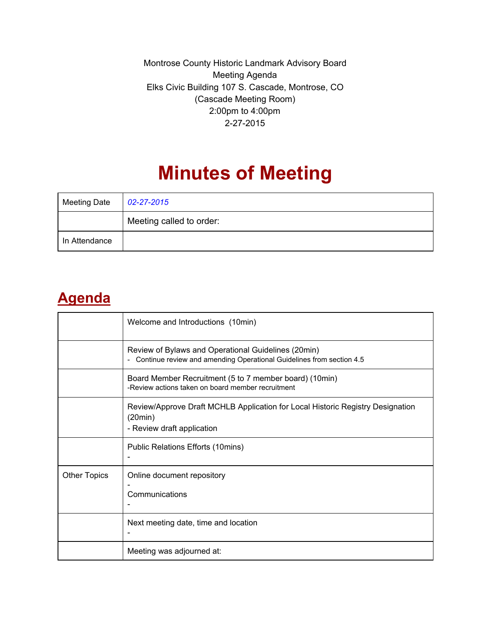Montrose County Historic Landmark Advisory Board Meeting Agenda Elks Civic Building 107 S. Cascade, Montrose, CO (Cascade Meeting Room) 2:00pm to 4:00pm 2-27-2015

# **Minutes of Meeting**

| <b>Meeting Date</b> | 02-27-2015               |
|---------------------|--------------------------|
|                     | Meeting called to order: |
| In Attendance       |                          |

#### **Agenda**

|                     | Welcome and Introductions (10min)                                                                                             |
|---------------------|-------------------------------------------------------------------------------------------------------------------------------|
|                     | Review of Bylaws and Operational Guidelines (20min)<br>- Continue review and amending Operational Guidelines from section 4.5 |
|                     | Board Member Recruitment (5 to 7 member board) (10min)<br>-Review actions taken on board member recruitment                   |
|                     | Review/Approve Draft MCHLB Application for Local Historic Registry Designation<br>(20min)<br>- Review draft application       |
|                     | Public Relations Efforts (10mins)                                                                                             |
| <b>Other Topics</b> | Online document repository<br>Communications                                                                                  |
|                     | Next meeting date, time and location                                                                                          |
|                     | Meeting was adjourned at:                                                                                                     |